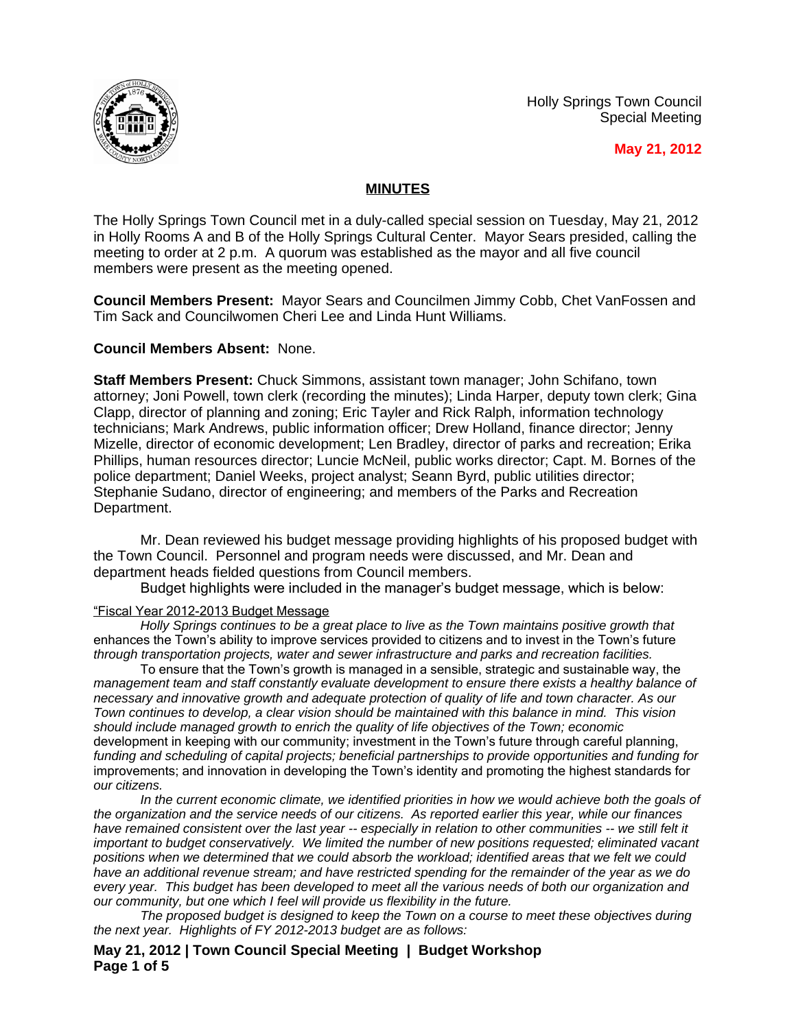





# **MINUTES**

The Holly Springs Town Council met in a duly-called special session on Tuesday, May 21, 2012 in Holly Rooms A and B of the Holly Springs Cultural Center. Mayor Sears presided, calling the meeting to order at 2 p.m. A quorum was established as the mayor and all five council members were present as the meeting opened.

**Council Members Present:** Mayor Sears and Councilmen Jimmy Cobb, Chet VanFossen and Tim Sack and Councilwomen Cheri Lee and Linda Hunt Williams.

# **Council Members Absent:** None.

**Staff Members Present:** Chuck Simmons, assistant town manager; John Schifano, town attorney; Joni Powell, town clerk (recording the minutes); Linda Harper, deputy town clerk; Gina Clapp, director of planning and zoning; Eric Tayler and Rick Ralph, information technology technicians; Mark Andrews, public information officer; Drew Holland, finance director; Jenny Mizelle, director of economic development; Len Bradley, director of parks and recreation; Erika Phillips, human resources director; Luncie McNeil, public works director; Capt. M. Bornes of the police department; Daniel Weeks, project analyst; Seann Byrd, public utilities director; Stephanie Sudano, director of engineering; and members of the Parks and Recreation Department.

Mr. Dean reviewed his budget message providing highlights of his proposed budget with the Town Council. Personnel and program needs were discussed, and Mr. Dean and department heads fielded questions from Council members.

Budget highlights were included in the manager's budget message, which is below:

### "Fiscal Year 2012-2013 Budget Message

*Holly Springs continues to be a great place to live as the Town maintains positive growth that*  enhances the Town's ability to improve services provided to citizens and to invest in the Town's future *through transportation projects, water and sewer infrastructure and parks and recreation facilities.*

To ensure that the Town's growth is managed in a sensible, strategic and sustainable way, the *management team and staff constantly evaluate development to ensure there exists a healthy balance of necessary and innovative growth and adequate protection of quality of life and town character. As our Town continues to develop, a clear vision should be maintained with this balance in mind. This vision should include managed growth to enrich the quality of life objectives of the Town; economic*  development in keeping with our community; investment in the Town's future through careful planning, *funding and scheduling of capital projects; beneficial partnerships to provide opportunities and funding for*  improvements; and innovation in developing the Town's identity and promoting the highest standards for *our citizens.*

In the current economic climate, we identified priorities in how we would achieve both the goals of *the organization and the service needs of our citizens. As reported earlier this year, while our finances*  have remained consistent over the last year -- especially in relation to other communities -- we still felt it *important to budget conservatively. We limited the number of new positions requested; eliminated vacant positions when we determined that we could absorb the workload; identified areas that we felt we could have an additional revenue stream; and have restricted spending for the remainder of the year as we do every year. This budget has been developed to meet all the various needs of both our organization and our community, but one which I feel will provide us flexibility in the future.*

*The proposed budget is designed to keep the Town on a course to meet these objectives during the next year. Highlights of FY 2012-2013 budget are as follows:*

**May 21, 2012 | Town Council Special Meeting | Budget Workshop Page 1 of 5**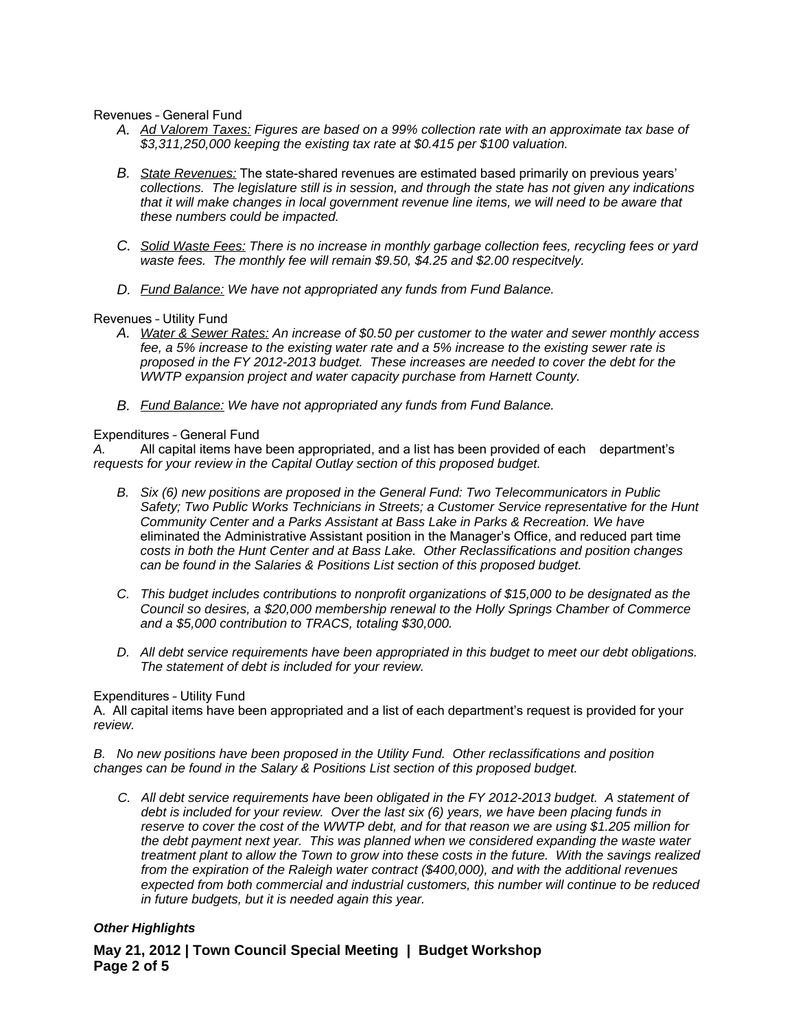Revenues – General Fund

- *A. Ad Valorem Taxes: Figures are based on a 99% collection rate with an approximate tax base of \$3,311,250,000 keeping the existing tax rate at \$0.415 per \$100 valuation.*
- *B. State Revenues:* The state-shared revenues are estimated based primarily on previous years' *collections. The legislature still is in session, and through the state has not given any indications that it will make changes in local government revenue line items, we will need to be aware that these numbers could be impacted.*
- *C. Solid Waste Fees: There is no increase in monthly garbage collection fees, recycling fees or yard waste fees. The monthly fee will remain \$9.50, \$4.25 and \$2.00 respecitvely.*
- *D. Fund Balance: We have not appropriated any funds from Fund Balance.*

### Revenues – Utility Fund

- *A. Water & Sewer Rates: An increase of \$0.50 per customer to the water and sewer monthly access fee, a 5% increase to the existing water rate and a 5% increase to the existing sewer rate is proposed in the FY 2012-2013 budget. These increases are needed to cover the debt for the WWTP expansion project and water capacity purchase from Harnett County.*
- *B. Fund Balance: We have not appropriated any funds from Fund Balance.*

### Expenditures – General Fund

*A.* All capital items have been appropriated, and a list has been provided of each department's *requests for your review in the Capital Outlay section of this proposed budget.*

- *B. Six (6) new positions are proposed in the General Fund: Two Telecommunicators in Public Safety; Two Public Works Technicians in Streets; a Customer Service representative for the Hunt Community Center and a Parks Assistant at Bass Lake in Parks & Recreation. We have*  eliminated the Administrative Assistant position in the Manager's Office, and reduced part time *costs in both the Hunt Center and at Bass Lake. Other Reclassifications and position changes can be found in the Salaries & Positions List section of this proposed budget.*
- *C. This budget includes contributions to nonprofit organizations of \$15,000 to be designated as the Council so desires, a \$20,000 membership renewal to the Holly Springs Chamber of Commerce and a \$5,000 contribution to TRACS, totaling \$30,000.*
- *D. All debt service requirements have been appropriated in this budget to meet our debt obligations. The statement of debt is included for your review.*

### Expenditures – Utility Fund

A. All capital items have been appropriated and a list of each department's request is provided for your *review.*

*B. No new positions have been proposed in the Utility Fund. Other reclassifications and position changes can be found in the Salary & Positions List section of this proposed budget.*

*C. All debt service requirements have been obligated in the FY 2012-2013 budget. A statement of debt is included for your review. Over the last six (6) years, we have been placing funds in reserve to cover the cost of the WWTP debt, and for that reason we are using \$1.205 million for the debt payment next year. This was planned when we considered expanding the waste water treatment plant to allow the Town to grow into these costs in the future. With the savings realized from the expiration of the Raleigh water contract (\$400,000), and with the additional revenues expected from both commercial and industrial customers, this number will continue to be reduced in future budgets, but it is needed again this year.*

# *Other Highlights*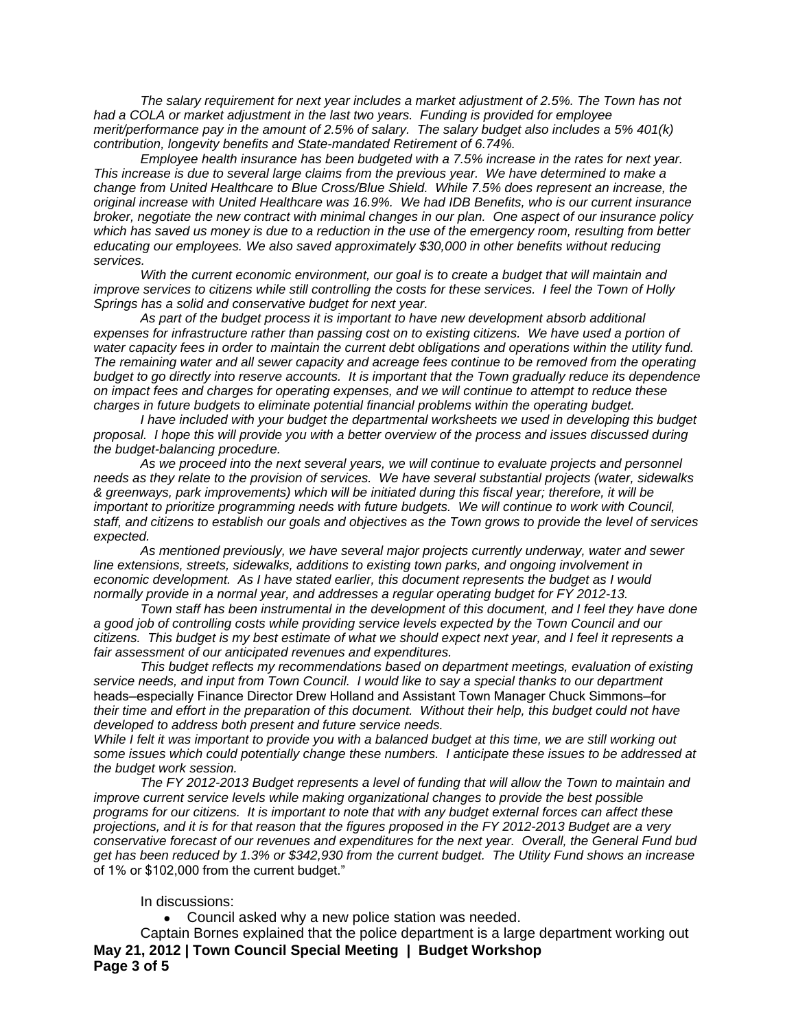*The salary requirement for next year includes a market adjustment of 2.5%. The Town has not had a COLA or market adjustment in the last two years. Funding is provided for employee merit/performance pay in the amount of 2.5% of salary. The salary budget also includes a 5% 401(k) contribution, longevity benefits and State-mandated Retirement of 6.74%.* 

*Employee health insurance has been budgeted with a 7.5% increase in the rates for next year. This increase is due to several large claims from the previous year. We have determined to make a change from United Healthcare to Blue Cross/Blue Shield. While 7.5% does represent an increase, the original increase with United Healthcare was 16.9%. We had IDB Benefits, who is our current insurance broker, negotiate the new contract with minimal changes in our plan. One aspect of our insurance policy which has saved us money is due to a reduction in the use of the emergency room, resulting from better educating our employees. We also saved approximately \$30,000 in other benefits without reducing services.* 

*With the current economic environment, our goal is to create a budget that will maintain and improve services to citizens while still controlling the costs for these services. I feel the Town of Holly Springs has a solid and conservative budget for next year.*

*As part of the budget process it is important to have new development absorb additional expenses for infrastructure rather than passing cost on to existing citizens. We have used a portion of*  water capacity fees in order to maintain the current debt obligations and operations within the utility fund. *The remaining water and all sewer capacity and acreage fees continue to be removed from the operating budget to go directly into reserve accounts. It is important that the Town gradually reduce its dependence on impact fees and charges for operating expenses, and we will continue to attempt to reduce these charges in future budgets to eliminate potential financial problems within the operating budget.*

*I have included with your budget the departmental worksheets we used in developing this budget proposal. I hope this will provide you with a better overview of the process and issues discussed during the budget-balancing procedure.*

*As we proceed into the next several years, we will continue to evaluate projects and personnel needs as they relate to the provision of services. We have several substantial projects (water, sidewalks & greenways, park improvements) which will be initiated during this fiscal year; therefore, it will be important to prioritize programming needs with future budgets. We will continue to work with Council, staff, and citizens to establish our goals and objectives as the Town grows to provide the level of services expected.*

*As mentioned previously, we have several major projects currently underway, water and sewer line extensions, streets, sidewalks, additions to existing town parks, and ongoing involvement in economic development. As I have stated earlier, this document represents the budget as I would normally provide in a normal year, and addresses a regular operating budget for FY 2012-13.*

*Town staff has been instrumental in the development of this document, and I feel they have done a good job of controlling costs while providing service levels expected by the Town Council and our citizens. This budget is my best estimate of what we should expect next year, and I feel it represents a fair assessment of our anticipated revenues and expenditures.*

*This budget reflects my recommendations based on department meetings, evaluation of existing service needs, and input from Town Council. I would like to say a special thanks to our department*  heads—especially Finance Director Drew Holland and Assistant Town Manager Chuck Simmons—for *their time and effort in the preparation of this document. Without their help, this budget could not have developed to address both present and future service needs.*

*While I felt it was important to provide you with a balanced budget at this time, we are still working out some issues which could potentially change these numbers. I anticipate these issues to be addressed at the budget work session.* 

*The FY 2012-2013 Budget represents a level of funding that will allow the Town to maintain and improve current service levels while making organizational changes to provide the best possible programs for our citizens. It is important to note that with any budget external forces can affect these projections, and it is for that reason that the figures proposed in the FY 2012-2013 Budget are a very conservative forecast of our revenues and expenditures for the next year. Overall, the General Fund bud get has been reduced by 1.3% or \$342,930 from the current budget. The Utility Fund shows an increase*  of 1% or \$102,000 from the current budget."

#### In discussions:

Council asked why a new police station was needed.

**May 21, 2012 | Town Council Special Meeting | Budget Workshop Page 3 of 5** Captain Bornes explained that the police department is a large department working out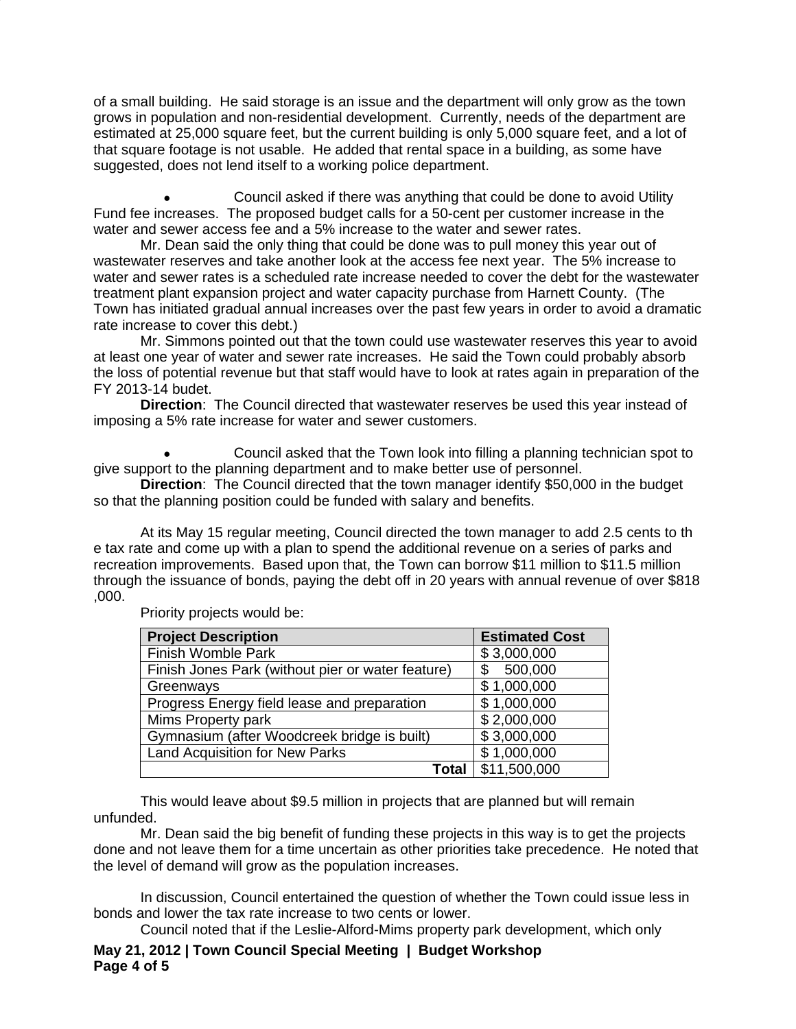of a small building. He said storage is an issue and the department will only grow as the town grows in population and non-residential development. Currently, needs of the department are estimated at 25,000 square feet, but the current building is only 5,000 square feet, and a lot of that square footage is not usable. He added that rental space in a building, as some have suggested, does not lend itself to a working police department.

 Council asked if there was anything that could be done to avoid Utility Fund fee increases. The proposed budget calls for a 50-cent per customer increase in the water and sewer access fee and a 5% increase to the water and sewer rates.

Mr. Dean said the only thing that could be done was to pull money this year out of wastewater reserves and take another look at the access fee next year. The 5% increase to water and sewer rates is a scheduled rate increase needed to cover the debt for the wastewater treatment plant expansion project and water capacity purchase from Harnett County. (The Town has initiated gradual annual increases over the past few years in order to avoid a dramatic rate increase to cover this debt.)

Mr. Simmons pointed out that the town could use wastewater reserves this year to avoid at least one year of water and sewer rate increases. He said the Town could probably absorb the loss of potential revenue but that staff would have to look at rates again in preparation of the FY 2013-14 budet.

**Direction**: The Council directed that wastewater reserves be used this year instead of imposing a 5% rate increase for water and sewer customers.

 Council asked that the Town look into filling a planning technician spot to give support to the planning department and to make better use of personnel.

**Direction**: The Council directed that the town manager identify \$50,000 in the budget so that the planning position could be funded with salary and benefits.

At its May 15 regular meeting, Council directed the town manager to add 2.5 cents to th e tax rate and come up with a plan to spend the additional revenue on a series of parks and recreation improvements. Based upon that, the Town can borrow \$11 million to \$11.5 million through the issuance of bonds, paying the debt off in 20 years with annual revenue of over \$818 ,000.

| <b>Project Description</b>                        | <b>Estimated Cost</b> |
|---------------------------------------------------|-----------------------|
| Finish Womble Park                                | \$3,000,000           |
| Finish Jones Park (without pier or water feature) | 500,000               |
| Greenways                                         | \$1,000,000           |
| Progress Energy field lease and preparation       | \$1,000,000           |
| Mims Property park                                | \$2,000,000           |
| Gymnasium (after Woodcreek bridge is built)       | \$3,000,000           |
| <b>Land Acquisition for New Parks</b>             | \$1,000,000           |
| Total                                             | \$11,500,000          |

Priority projects would be:

This would leave about \$9.5 million in projects that are planned but will remain unfunded.

Mr. Dean said the big benefit of funding these projects in this way is to get the projects done and not leave them for a time uncertain as other priorities take precedence. He noted that the level of demand will grow as the population increases.

In discussion, Council entertained the question of whether the Town could issue less in bonds and lower the tax rate increase to two cents or lower.

Council noted that if the Leslie-Alford-Mims property park development, which only

**May 21, 2012 | Town Council Special Meeting | Budget Workshop Page 4 of 5**